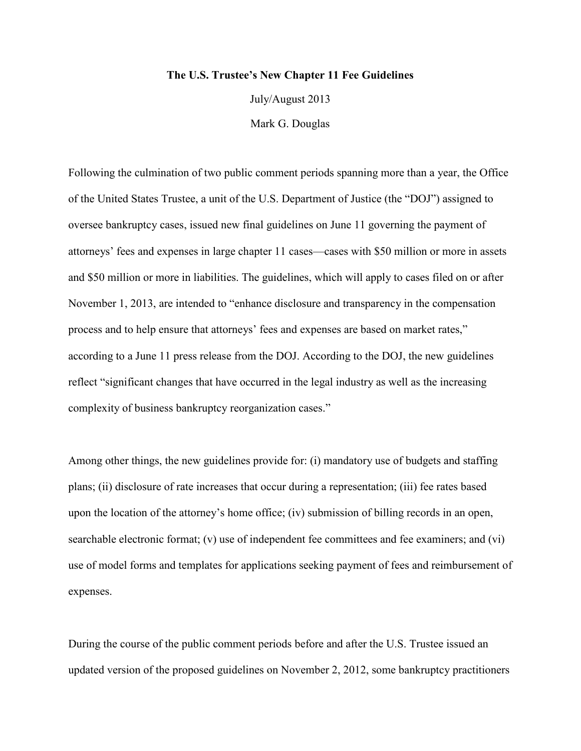## **The U.S. Trustee's New Chapter 11 Fee Guidelines**

July/August 2013 Mark G. Douglas

Following the culmination of two public comment periods spanning more than a year, the Office of the United States Trustee, a unit of the U.S. Department of Justice (the "DOJ") assigned to oversee bankruptcy cases, issued new final guidelines on June 11 governing the payment of attorneys' fees and expenses in large chapter 11 cases—cases with \$50 million or more in assets and \$50 million or more in liabilities. The guidelines, which will apply to cases filed on or after November 1, 2013, are intended to "enhance disclosure and transparency in the compensation process and to help ensure that attorneys' fees and expenses are based on market rates," according to a June 11 press release from the DOJ. According to the DOJ, the new guidelines reflect "significant changes that have occurred in the legal industry as well as the increasing complexity of business bankruptcy reorganization cases."

Among other things, the new guidelines provide for: (i) mandatory use of budgets and staffing plans; (ii) disclosure of rate increases that occur during a representation; (iii) fee rates based upon the location of the attorney's home office; (iv) submission of billing records in an open, searchable electronic format; (v) use of independent fee committees and fee examiners; and (vi) use of model forms and templates for applications seeking payment of fees and reimbursement of expenses.

During the course of the public comment periods before and after the U.S. Trustee issued an updated version of the proposed guidelines on November 2, 2012, some bankruptcy practitioners